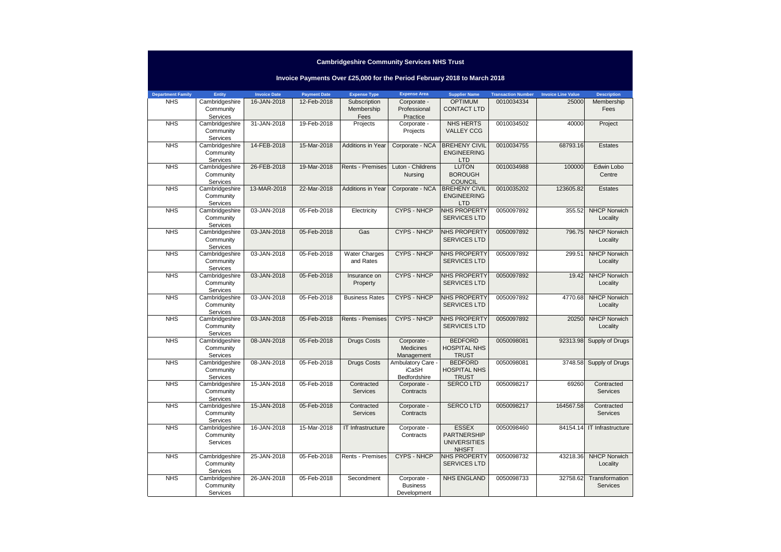### **Cambridgeshire Community Services NHS Trust**

# **Invoice Payments Over £25,000 for the Period February 2018 to March 2018**

| <b>Department Family</b> | Entity                      | <b>Invoice Date</b> | <b>Payment Date</b> | <b>Expense Type</b>      | <b>Expense Area</b>            | <b>Supplier Name</b>                | <b>Transaction Number</b> | <b>Invoice Line Value</b> | <b>Description</b>              |
|--------------------------|-----------------------------|---------------------|---------------------|--------------------------|--------------------------------|-------------------------------------|---------------------------|---------------------------|---------------------------------|
| <b>NHS</b>               | Cambridgeshire              | 16-JAN-2018         | 12-Feb-2018         | Subscription             | Corporate -                    | <b>OPTIMUM</b>                      | 0010034334                | 25000                     | Membership                      |
|                          | Community<br>Services       |                     |                     | Membership               | Professional<br>Practice       | <b>CONTACT LTD</b>                  |                           |                           | Fees                            |
| <b>NHS</b>               | Cambridgeshire              | 31-JAN-2018         | 19-Feb-2018         | Fees<br>Projects         | Corporate -                    | <b>NHS HERTS</b>                    | 0010034502                | 40000                     | Project                         |
|                          | Community                   |                     |                     |                          | Projects                       | <b>VALLEY CCG</b>                   |                           |                           |                                 |
|                          | Services                    |                     |                     |                          |                                |                                     |                           |                           |                                 |
| <b>NHS</b>               | Cambridgeshire              | 14-FEB-2018         | 15-Mar-2018         | <b>Additions in Year</b> | Corporate - NCA                | <b>BREHENY CIVIL</b>                | 0010034755                | 68793.16                  | Estates                         |
|                          | Community                   |                     |                     |                          |                                | <b>ENGINEERING</b>                  |                           |                           |                                 |
|                          | Services                    |                     |                     |                          |                                | <b>LTD</b>                          |                           |                           |                                 |
| <b>NHS</b>               | Cambridgeshire              | 26-FEB-2018         | 19-Mar-2018         | <b>Rents - Premises</b>  | Luton - Childrens              | <b>LUTON</b>                        | 0010034988                | 100000                    | Edwin Lobo                      |
|                          | Community<br>Services       |                     |                     |                          | Nursing                        | <b>BOROUGH</b><br><b>COUNCIL</b>    |                           |                           | Centre                          |
| <b>NHS</b>               | Cambridgeshire              | 13-MAR-2018         | 22-Mar-2018         | <b>Additions in Year</b> | Corporate - NCA                | <b>BREHENY CIVIL</b>                | 0010035202                | 123605.82                 | Estates                         |
|                          | Community                   |                     |                     |                          |                                | <b>ENGINEERING</b>                  |                           |                           |                                 |
|                          | Services                    |                     |                     |                          |                                | LTD                                 |                           |                           |                                 |
| <b>NHS</b>               | Cambridgeshire              | 03-JAN-2018         | 05-Feb-2018         | Electricity              | <b>CYPS - NHCP</b>             | <b>NHS PROPERTY</b>                 | 0050097892                | 355.52                    | <b>NHCP Norwich</b>             |
|                          | Community                   |                     |                     |                          |                                | <b>SERVICES LTD</b>                 |                           |                           | Locality                        |
|                          | Services                    |                     |                     |                          |                                |                                     |                           |                           |                                 |
| <b>NHS</b>               | Cambridgeshire<br>Community | 03-JAN-2018         | 05-Feb-2018         | Gas                      | <b>CYPS - NHCP</b>             | NHS PROPERTY<br><b>SERVICES LTD</b> | 0050097892                | 796.75                    | <b>NHCP Norwich</b><br>Locality |
|                          | Services                    |                     |                     |                          |                                |                                     |                           |                           |                                 |
| <b>NHS</b>               | Cambridgeshire              | 03-JAN-2018         | 05-Feb-2018         | <b>Water Charges</b>     | <b>CYPS - NHCP</b>             | <b>NHS PROPERTY</b>                 | 0050097892                | 299.51                    | <b>NHCP Norwich</b>             |
|                          | Community                   |                     |                     | and Rates                |                                | <b>SERVICES LTD</b>                 |                           |                           | Locality                        |
|                          | Services                    |                     |                     |                          |                                |                                     |                           |                           |                                 |
| <b>NHS</b>               | Cambridgeshire              | 03-JAN-2018         | 05-Feb-2018         | Insurance on             | <b>CYPS - NHCP</b>             | NHS PROPERTY                        | 0050097892                | 19.42                     | <b>NHCP Norwich</b>             |
|                          | Community                   |                     |                     | Property                 |                                | <b>SERVICES LTD</b>                 |                           |                           | Locality                        |
| <b>NHS</b>               | Services<br>Cambridgeshire  | 03-JAN-2018         | 05-Feb-2018         | <b>Business Rates</b>    | <b>CYPS - NHCP</b>             | NHS PROPERTY                        | 0050097892                | 4770.68                   | <b>NHCP Norwich</b>             |
|                          | Community                   |                     |                     |                          |                                | <b>SERVICES LTD</b>                 |                           |                           | Locality                        |
|                          | Services                    |                     |                     |                          |                                |                                     |                           |                           |                                 |
| <b>NHS</b>               | Cambridgeshire              | 03-JAN-2018         | 05-Feb-2018         | <b>Rents - Premises</b>  | <b>CYPS - NHCP</b>             | <b>NHS PROPERTY</b>                 | 0050097892                | 20250                     | <b>NHCP Norwich</b>             |
|                          | Community                   |                     |                     |                          |                                | <b>SERVICES LTD</b>                 |                           |                           | Locality                        |
|                          | Services                    |                     |                     |                          |                                |                                     |                           |                           |                                 |
| <b>NHS</b>               | Cambridgeshire              | 08-JAN-2018         | 05-Feb-2018         | <b>Drugs Costs</b>       | Corporate -                    | <b>BEDFORD</b>                      | 0050098081                | 92313.98                  | Supply of Drugs                 |
|                          | Community<br>Services       |                     |                     |                          | <b>Medicines</b><br>Management | <b>HOSPITAL NHS</b><br><b>TRUST</b> |                           |                           |                                 |
| <b>NHS</b>               | Cambridgeshire              | 08-JAN-2018         | 05-Feb-2018         | <b>Drugs Costs</b>       | Ambulatory Care                | <b>BEDFORD</b>                      | 0050098081                | 3748.58                   | Supply of Drugs                 |
|                          | Community                   |                     |                     |                          | <b>iCaSH</b>                   | <b>HOSPITAL NHS</b>                 |                           |                           |                                 |
|                          | Services                    |                     |                     |                          | Bedfordshire                   | <b>TRUST</b>                        |                           |                           |                                 |
| <b>NHS</b>               | Cambridgeshire              | 15-JAN-2018         | 05-Feb-2018         | Contracted               | Corporate -                    | <b>SERCOLTD</b>                     | 0050098217                | 69260                     | Contracted                      |
|                          | Community                   |                     |                     | Services                 | Contracts                      |                                     |                           |                           | Services                        |
|                          | Services                    |                     |                     |                          |                                |                                     |                           |                           |                                 |
| <b>NHS</b>               | Cambridgeshire<br>Community | 15-JAN-2018         | 05-Feb-2018         | Contracted<br>Services   | Corporate -<br>Contracts       | <b>SERCOLTD</b>                     | 0050098217                | 164567.58                 | Contracted<br>Services          |
|                          | Services                    |                     |                     |                          |                                |                                     |                           |                           |                                 |
| <b>NHS</b>               | Cambridgeshire              | 16-JAN-2018         | 15-Mar-2018         | IT Infrastructure        | Corporate -                    | <b>ESSEX</b>                        | 0050098460                | 84154.14                  | IT Infrastructure               |
|                          | Community                   |                     |                     |                          | Contracts                      | PARTNERSHIP                         |                           |                           |                                 |
|                          | Services                    |                     |                     |                          |                                | <b>UNIVERSITIES</b>                 |                           |                           |                                 |
|                          |                             |                     |                     |                          |                                | <b>NHSFT</b>                        |                           |                           |                                 |
| <b>NHS</b>               | Cambridgeshire              | 25-JAN-2018         | 05-Feb-2018         | Rents - Premises         | <b>CYPS - NHCP</b>             | NHS PROPERTY<br><b>SERVICES LTD</b> | 0050098732                | 43218.36                  | <b>NHCP Norwich</b><br>Locality |
|                          | Community<br>Services       |                     |                     |                          |                                |                                     |                           |                           |                                 |
| <b>NHS</b>               | Cambridgeshire              | 26-JAN-2018         | 05-Feb-2018         | Secondment               | Corporate -                    | <b>NHS ENGLAND</b>                  | 0050098733                | 32758.62                  | Transformation                  |
|                          | Community                   |                     |                     |                          | <b>Business</b>                |                                     |                           |                           | <b>Services</b>                 |
|                          | Services                    |                     |                     |                          | Development                    |                                     |                           |                           |                                 |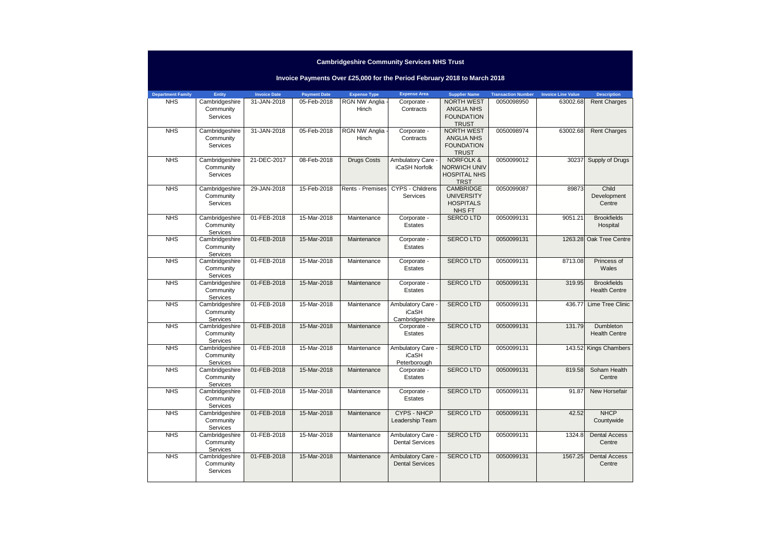| <b>Cambridgeshire Community Services NHS Trust</b> |                                         |                     |                     |                          |                                                                          |                                                                                   |                           |                           |                                            |  |
|----------------------------------------------------|-----------------------------------------|---------------------|---------------------|--------------------------|--------------------------------------------------------------------------|-----------------------------------------------------------------------------------|---------------------------|---------------------------|--------------------------------------------|--|
|                                                    |                                         |                     |                     |                          | Invoice Payments Over £25,000 for the Period February 2018 to March 2018 |                                                                                   |                           |                           |                                            |  |
| <b>Department Family</b>                           | Entity                                  | <b>Invoice Date</b> | <b>Payment Date</b> | <b>Expense Type</b>      | <b>Expense Area</b>                                                      | <b>Supplier Name</b>                                                              | <b>Transaction Number</b> | <b>Invoice Line Value</b> | <b>Description</b>                         |  |
| <b>NHS</b>                                         | Cambridgeshire<br>Community<br>Services | 31-JAN-2018         | 05-Feb-2018         | RGN NW Anglia -<br>Hinch | Corporate -<br>Contracts                                                 | <b>NORTH WEST</b><br><b>ANGLIA NHS</b><br><b>FOUNDATION</b><br><b>TRUST</b>       | 0050098950                | 63002.68                  | <b>Rent Charges</b>                        |  |
| <b>NHS</b>                                         | Cambridgeshire<br>Community<br>Services | 31-JAN-2018         | 05-Feb-2018         | RGN NW Anglia<br>Hinch   | Corporate -<br>Contracts                                                 | <b>NORTH WEST</b><br><b>ANGLIA NHS</b><br><b>FOUNDATION</b><br><b>TRUST</b>       | 0050098974                | 63002.68                  | <b>Rent Charges</b>                        |  |
| <b>NHS</b>                                         | Cambridgeshire<br>Community<br>Services | 21-DEC-2017         | 08-Feb-2018         | <b>Drugs Costs</b>       | Ambulatory Care -<br>iCaSH Norfolk                                       | <b>NORFOLK &amp;</b><br><b>NORWICH UNIV</b><br><b>HOSPITAL NHS</b><br><b>TRST</b> | 0050099012                | 30237                     | Supply of Drugs                            |  |
| <b>NHS</b>                                         | Cambridgeshire<br>Community<br>Services | 29-JAN-2018         | 15-Feb-2018         | Rents - Premises         | CYPS - Childrens<br>Services                                             | <b>CAMBRIDGE</b><br><b>UNIVERSITY</b><br><b>HOSPITALS</b><br>NHS FT               | 0050099087                | 89873                     | Child<br>Development<br>Centre             |  |
| <b>NHS</b>                                         | Cambridgeshire<br>Community<br>Services | 01-FEB-2018         | 15-Mar-2018         | Maintenance              | Corporate -<br>Estates                                                   | <b>SERCOLTD</b>                                                                   | 0050099131                | 9051.21                   | <b>Brookfields</b><br>Hospital             |  |
| <b>NHS</b>                                         | Cambridgeshire<br>Community<br>Services | 01-FEB-2018         | 15-Mar-2018         | Maintenance              | Corporate -<br>Estates                                                   | <b>SERCOLTD</b>                                                                   | 0050099131                | 1263.28                   | Oak Tree Centre                            |  |
| <b>NHS</b>                                         | Cambridgeshire<br>Community<br>Services | 01-FEB-2018         | 15-Mar-2018         | Maintenance              | Corporate -<br>Estates                                                   | <b>SERCOLTD</b>                                                                   | 0050099131                | 8713.08                   | Princess of<br>Wales                       |  |
| <b>NHS</b>                                         | Cambridgeshire<br>Community<br>Services | 01-FEB-2018         | 15-Mar-2018         | Maintenance              | Corporate -<br><b>Estates</b>                                            | <b>SERCOLTD</b>                                                                   | 0050099131                | 319.95                    | <b>Brookfields</b><br><b>Health Centre</b> |  |
| <b>NHS</b>                                         | Cambridgeshire<br>Community<br>Services | 01-FEB-2018         | 15-Mar-2018         | Maintenance              | Ambulatory Care -<br><b>iCaSH</b><br>Cambridgeshire                      | <b>SERCOLTD</b>                                                                   | 0050099131                | 436.77                    | Lime Tree Clinic                           |  |
| <b>NHS</b>                                         | Cambridgeshire<br>Community<br>Services | 01-FEB-2018         | 15-Mar-2018         | Maintenance              | Corporate -<br>Estates                                                   | <b>SERCOLTD</b>                                                                   | 0050099131                | 131.79                    | Dumbleton<br><b>Health Centre</b>          |  |
| <b>NHS</b>                                         | Cambridgeshire<br>Community<br>Services | 01-FEB-2018         | 15-Mar-2018         | Maintenance              | Ambulatory Care -<br><b>iCaSH</b><br>Peterborough                        | <b>SERCOLTD</b>                                                                   | 0050099131                | 143.52                    | <b>Kings Chambers</b>                      |  |
| <b>NHS</b>                                         | Cambridgeshire<br>Community<br>Services | 01-FEB-2018         | 15-Mar-2018         | Maintenance              | Corporate -<br>Estates                                                   | <b>SERCOLTD</b>                                                                   | 0050099131                | 819.58                    | Soham Health<br>Centre                     |  |
| <b>NHS</b>                                         | Cambridgeshire<br>Community<br>Services | 01-FEB-2018         | 15-Mar-2018         | Maintenance              | Corporate -<br>Estates                                                   | <b>SERCOLTD</b>                                                                   | 0050099131                | 91.87                     | New Horsefair                              |  |
| <b>NHS</b>                                         | Cambridgeshire<br>Community<br>Services | 01-FEB-2018         | 15-Mar-2018         | Maintenance              | <b>CYPS - NHCP</b><br>Leadership Team                                    | <b>SERCOLTD</b>                                                                   | 0050099131                | 42.52                     | <b>NHCP</b><br>Countywide                  |  |
| <b>NHS</b>                                         | Cambridgeshire<br>Community<br>Services | 01-FEB-2018         | 15-Mar-2018         | Maintenance              | Ambulatory Care -<br><b>Dental Services</b>                              | <b>SERCOLTD</b>                                                                   | 0050099131                | 1324.8                    | <b>Dental Access</b><br>Centre             |  |
| <b>NHS</b>                                         | Cambridgeshire<br>Community<br>Services | 01-FEB-2018         | 15-Mar-2018         | Maintenance              | Ambulatory Care -<br><b>Dental Services</b>                              | <b>SERCOLTD</b>                                                                   | 0050099131                | 1567.25                   | <b>Dental Access</b><br>Centre             |  |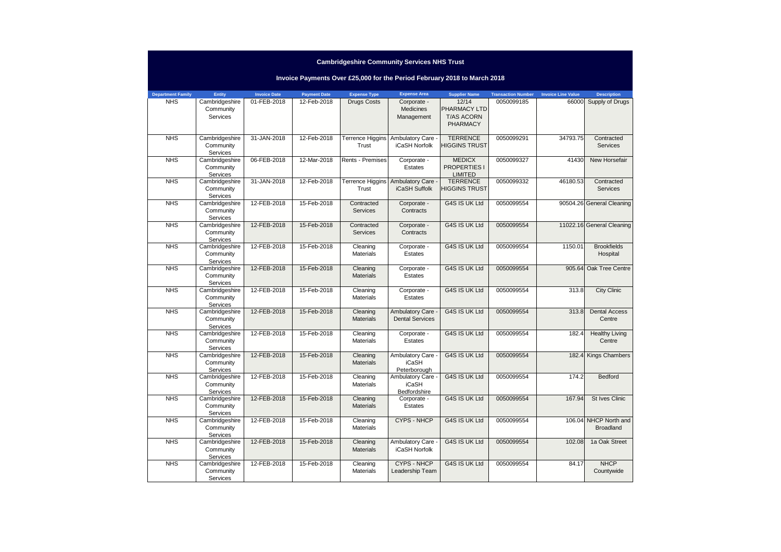|  | <b>Cambridgeshire Community Services NHS Trust</b> |
|--|----------------------------------------------------|
|--|----------------------------------------------------|

# **Invoice Payments Over £25,000 for the Period February 2018 to March 2018**

| <b>Department Family</b> | Entity                      | <b>Invoice Date</b> | <b>Payment Date</b> | <b>Expense Type</b>     | <b>Expense Area</b>          | <b>Supplier Name</b> | <b>Transaction Number</b> | <b>Invoice Line Value</b> | <b>Description</b>        |
|--------------------------|-----------------------------|---------------------|---------------------|-------------------------|------------------------------|----------------------|---------------------------|---------------------------|---------------------------|
| <b>NHS</b>               | Cambridgeshire              | 01-FEB-2018         | 12-Feb-2018         | <b>Drugs Costs</b>      | Corporate -                  | 12/14                | 0050099185                | 66000                     | Supply of Drugs           |
|                          | Community                   |                     |                     |                         | Medicines                    | PHARMACY LTD         |                           |                           |                           |
|                          | Services                    |                     |                     |                         | Management                   | <b>T/AS ACORN</b>    |                           |                           |                           |
|                          |                             |                     |                     |                         |                              | <b>PHARMACY</b>      |                           |                           |                           |
| <b>NHS</b>               | Cambridgeshire              | 31-JAN-2018         | 12-Feb-2018         | <b>Terrence Higgins</b> | Ambulatory Care              | <b>TERRENCE</b>      | 0050099291                | 34793.75                  | Contracted                |
|                          | Community                   |                     |                     | Trust                   | iCaSH Norfolk                | <b>HIGGINS TRUST</b> |                           |                           | <b>Services</b>           |
|                          | Services                    |                     |                     |                         |                              |                      |                           |                           |                           |
| <b>NHS</b>               | Cambridgeshire              | 06-FEB-2018         | 12-Mar-2018         | Rents - Premises        | Corporate -                  | <b>MEDICX</b>        | 0050099327                | 41430                     | New Horsefair             |
|                          | Community                   |                     |                     |                         | Estates                      | PROPERTIES I         |                           |                           |                           |
|                          | Services                    |                     |                     |                         |                              | <b>LIMITED</b>       |                           |                           |                           |
| <b>NHS</b>               | Cambridgeshire              | 31-JAN-2018         | 12-Feb-2018         | <b>Terrence Higgins</b> | Ambulatory Care -            | <b>TERRENCE</b>      | 0050099332                | 46180.53                  | Contracted                |
|                          | Community                   |                     |                     | Trust                   | iCaSH Suffolk                | <b>HIGGINS TRUST</b> |                           |                           | <b>Services</b>           |
| <b>NHS</b>               | Services                    | 12-FEB-2018         | 15-Feb-2018         |                         |                              | G4S IS UK Ltd        | 0050099554                |                           |                           |
|                          | Cambridgeshire<br>Community |                     |                     | Contracted<br>Services  | Corporate -<br>Contracts     |                      |                           |                           | 90504.26 General Cleaning |
|                          | Services                    |                     |                     |                         |                              |                      |                           |                           |                           |
| <b>NHS</b>               | Cambridgeshire              | 12-FEB-2018         | 15-Feb-2018         | Contracted              | Corporate -                  | G4S IS UK Ltd        | 0050099554                |                           | 11022.16 General Cleaning |
|                          | Community                   |                     |                     | <b>Services</b>         | Contracts                    |                      |                           |                           |                           |
|                          | Services                    |                     |                     |                         |                              |                      |                           |                           |                           |
| <b>NHS</b>               | Cambridgeshire              | 12-FEB-2018         | 15-Feb-2018         | Cleaning                | Corporate -                  | G4S IS UK Ltd        | 0050099554                | 1150.01                   | <b>Brookfields</b>        |
|                          | Community                   |                     |                     | <b>Materials</b>        | Estates                      |                      |                           |                           | Hospital                  |
|                          | Services                    |                     |                     |                         |                              |                      |                           |                           |                           |
| <b>NHS</b>               | Cambridgeshire              | 12-FEB-2018         | 15-Feb-2018         | Cleaning                | Corporate -                  | G4S IS UK Ltd        | 0050099554                | 905.64                    | Oak Tree Centre           |
|                          | Community                   |                     |                     | <b>Materials</b>        | Estates                      |                      |                           |                           |                           |
| <b>NHS</b>               | Services<br>Cambridgeshire  | 12-FEB-2018         | 15-Feb-2018         | Cleaning                | Corporate -                  | G4S IS UK Ltd        | 0050099554                | 313.8                     | <b>City Clinic</b>        |
|                          | Community                   |                     |                     | <b>Materials</b>        | Estates                      |                      |                           |                           |                           |
|                          | Services                    |                     |                     |                         |                              |                      |                           |                           |                           |
| <b>NHS</b>               | Cambridgeshire              | 12-FEB-2018         | 15-Feb-2018         | Cleaning                | Ambulatory Care -            | G4S IS UK Ltd        | 0050099554                | 313.8                     | <b>Dental Access</b>      |
|                          | Community                   |                     |                     | <b>Materials</b>        | <b>Dental Services</b>       |                      |                           |                           | Centre                    |
|                          | Services                    |                     |                     |                         |                              |                      |                           |                           |                           |
| <b>NHS</b>               | Cambridgeshire              | 12-FEB-2018         | 15-Feb-2018         | Cleaning                | Corporate -                  | G4S IS UK Ltd        | 0050099554                | 182.4                     | <b>Healthy Living</b>     |
|                          | Community                   |                     |                     | <b>Materials</b>        | Estates                      |                      |                           |                           | Centre                    |
|                          | Services                    |                     |                     |                         |                              |                      |                           |                           |                           |
| <b>NHS</b>               | Cambridgeshire              | 12-FEB-2018         | 15-Feb-2018         | Cleaning                | Ambulatory Care -            | G4S IS UK Ltd        | 0050099554                | 182.4                     | <b>Kings Chambers</b>     |
|                          | Community<br>Services       |                     |                     | <b>Materials</b>        | <b>iCaSH</b><br>Peterborough |                      |                           |                           |                           |
| <b>NHS</b>               | Cambridgeshire              | 12-FEB-2018         | 15-Feb-2018         | Cleaning                | Ambulatory Care -            | G4S IS UK Ltd        | 0050099554                | 174.2                     | Bedford                   |
|                          | Community                   |                     |                     | <b>Materials</b>        | <b>iCaSH</b>                 |                      |                           |                           |                           |
|                          | Services                    |                     |                     |                         | Bedfordshire                 |                      |                           |                           |                           |
| <b>NHS</b>               | Cambridgeshire              | 12-FEB-2018         | 15-Feb-2018         | Cleaning                | Corporate -                  | G4S IS UK Ltd        | 0050099554                | 167.94                    | <b>St Ives Clinic</b>     |
|                          | Community                   |                     |                     | <b>Materials</b>        | Estates                      |                      |                           |                           |                           |
|                          | Services                    |                     |                     |                         |                              |                      |                           |                           |                           |
| <b>NHS</b>               | Cambridgeshire              | 12-FEB-2018         | 15-Feb-2018         | Cleaning                | <b>CYPS - NHCP</b>           | G4S IS UK Ltd        | 0050099554                |                           | 106.04 NHCP North and     |
|                          | Community                   |                     |                     | Materials               |                              |                      |                           |                           | <b>Broadland</b>          |
| <b>NHS</b>               | Services<br>Cambridgeshire  | 12-FEB-2018         | 15-Feb-2018         | Cleaning                | Ambulatory Care              | G4S IS UK Ltd        | 0050099554                | 102.08                    | 1a Oak Street             |
|                          | Community                   |                     |                     | <b>Materials</b>        | iCaSH Norfolk                |                      |                           |                           |                           |
|                          | Services                    |                     |                     |                         |                              |                      |                           |                           |                           |
| <b>NHS</b>               | Cambridgeshire              | 12-FEB-2018         | 15-Feb-2018         | Cleaning                | <b>CYPS - NHCP</b>           | G4S IS UK Ltd        | 0050099554                | 84.17                     | <b>NHCP</b>               |
|                          | Community                   |                     |                     | <b>Materials</b>        | Leadership Team              |                      |                           |                           | Countywide                |
|                          | Services                    |                     |                     |                         |                              |                      |                           |                           |                           |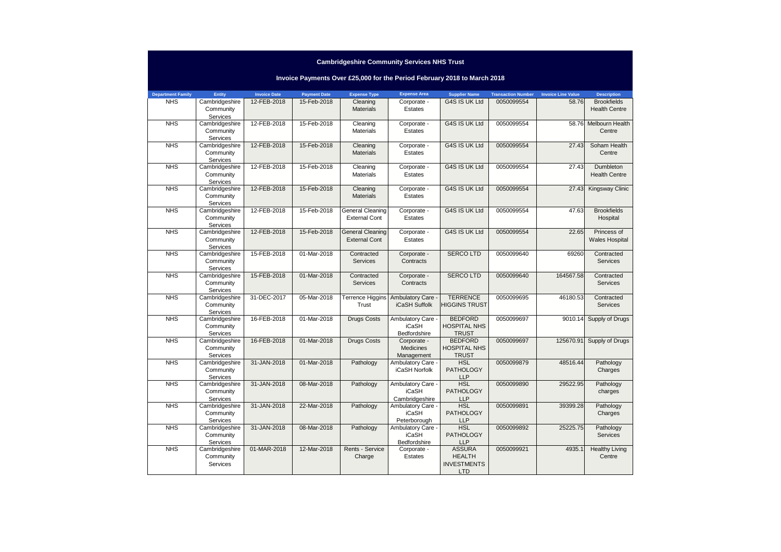### **Department Family Entity Invoice Date Payment Date Expense Type Expense Area Supplier Name Transaction Number Invoice Line Value DescriptionBrookfields Invoice Payments Over £25,000 for the Period February 2018 to March 2018**NHS Cambridgeshire **Community** Services NHS Cambridgeshire 12-FEB-2018 15-Feb-2018 **Materials** Corporate - **Estates G4S IS UK Ltd** Health Centre**Community Services**  NHS Cambridgeshire 12-FEB-2018 15-Feb-2018 Cleaning **Materials** Corporate - EstatesG4S IS UK Ltd 0050099554 58.76 Melbourn Health **Centre Community** Services NHS Cambridgeshire 12-FEB-2018 15-Feb-2018 Cleaning **Materials** Corporate - **Estates** G4S IS UK Ltd 0050099554 27.43 Soham Health **Centre** Community Services NHS Cambridgeshire 12-FEB-2018 15-Feb-2018 Cleaning **Materials** Corporate - **Estates** G4S IS UK Ltd 0050099554 27.43 Dumbleton Health CentreCommunity Services NHS Cambridgeshire 12-FEB-2018 15-Feb-2018 Cleaning **Materials** Corporate - **Estates** G4S IS UK Ltd 0050099554 27.43 Kingsway Clinic**Community Services**  NHS Cambridgeshire 12-FEB-2018 15-Feb-2018 General Cleaning External ContCorporate - **Estates** G4S IS UK Ltd 0050099554 47.63 Brookfields Hospital**Community Services**  NHS Cambridgeshire 12-FEB-2018 15-Feb-2018 General Cleaning External ContCorporate - **Estates** G4S IS UK Ltd 0050099554 22.65 Princess of Wales Hospital**Community** Services NHS Cambridgeshire 15-FEB-2018 01-Mar-2018 Contracted ServicesCorporate - **Contracts** SERCO LTD 0050099640 69260 Contracted ServicesCommunity Services NHS Cambridgeshire 15-FEB-2018 01-Mar-2018 Contracted ServicesCorporate - **Contracts** SERCO LTD 0050099640 164567.58 Contracted Services**Community Services**  NHS Cambridgeshire 31-DEC-2017 05-Mar-2018 Terrence Higgins Trust**Ambulatory Care** iCaSH Suffolk**TERRENCE**  HIGGINS TRUST0050099695 46180.53 Contracted ServicesCommunity **Services**  NHS Cambridgeshire 16-FEB-2018 01-Mar-2018 Drugs Costs Ambulatory Care iCaSH BedfordshireCorporate -BEDFORD HOSPITAL NHS TRUST BEDFORD 0050099697 9010.14 Supply of Drugs**Community Services**  NHS Cambridgeshire 16-FEB-2018 01-Mar-2018 Drugs Costs Medicines Management 31-JAN-2018 01-Mar-2018 Pathology Ambulatory Care - HOSPITAL NHS TRUST HSL 0050099697 125670.91 Supply of DrugsCommunity Services NHS Cambridgeshire iCaSH Norfolk**PATHOLOGY** LLP HSL 0050099879 48516.44 Pathology Charges Community Services NHS Cambridgeshire 31-JAN-2018 08-Mar-2018 Pathology Ambulatory Care iCaSH **Cambridgeshire**  31-JAN-2018 22-Mar-2018 Pathology Ambulatory Care - **PATHOLOGY** LLP HSL 0050099890 29522.95 Pathology charges**Community Services**  NHS Cambridgeshire iCaSH **Peterborough**  31-JAN-2018 08-Mar-2018 Pathology Ambulatory Care - **PATHOLOGY** LLP HSL 0050099891 39399.28 Pathology Charges Community **Services**  NHS Cambridgeshire iCaSH Bedfordshire Corporate - **PATHOLOGY** LLP ASSURA 0050099892 25225.75 Pathology ServicesCommunity **Services** 01-MAR-2018 12-Mar-2018 Rents - Service Charge**Estates**  HEALTH **INVESTMENTS** LTD0050099921 4935.1 Healthy Living **Centre**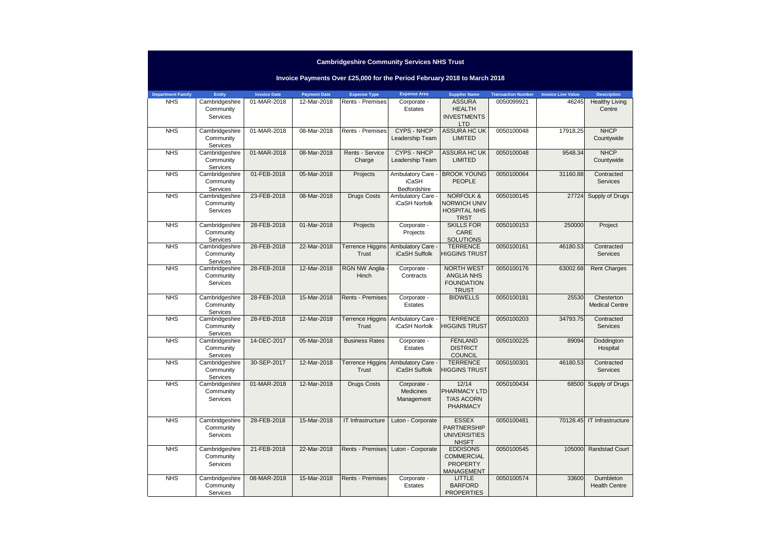### **Department Family Entity Invoice Date Payment Date Expense Type Expense Area Supplier Name Transaction Number Invoice Line Value Description**0050099921 46245 Healthy Living **Invoice Payments Over £25,000 for the Period February 2018 to March 2018**NHS Cambridgeshire **Community Services** 01-MAR-2018 | 12-Mar-2018 | Rents - Premises **Estates** ASSURA HEALTH **INVESTMENTS** LTD. ASSURA HC UK CentreNHS Cambridgeshire Community Services NHS Cambridgeshire 01-MAR-2018 08-Mar-2018 Rents - Premises CYPS - NHCP Leadership TeamLIMITED0050100048 17918.25 NHCP CountywideCommunity **Services**  NHS Cambridgeshire 01-MAR-2018 08-Mar-2018 Rents - Service **Charge** CYPS - NHCP Leadership TeamASSURA HC UK LIMITED0050100048 9548.34 NHCP CountywideCommunity Services NHS Cambridgeshire 01-FEB-2018 05-Mar-2018 Projects Ambulatory Care iCaSH Bedfordshire23-FEB-2018 | 08-Mar-2018 | Drugs Costs | Ambulatory Care -BROOK YOUNG PEOPLE0050100064 31160.88 Contracted ServicesCommunity **Services** iCaSH NorfolkNORFOLK & NORWICH UNIV HOSPITAL NHS TRST SKILLS FOR 0050100145 <sup>27724</sup> Supply of DrugsNHS Cambridgeshire Community **Services**  NHS Cambridgeshire 28-FEB-2018 01-Mar-2018 Projects Corporate - **Projects** CARE **SOLUTIONS**  TERRENCE 0050100153 250000 Project **Community Services**  NHS Cambridgeshire 28-FEB-2018 22-Mar-2018 Terrence Higgins TrustAmbulatory Care iCaSH Suffolk HIGGINS TRUST0050100161 46180.53 Contracted **Services Community Services** 28-FEB-2018 12-Mar-2018RGN NW Anglia HinchCorporate - **Contracts** NORTH WEST ANGLIA NHS FOUNDATION TRUST**BIDWELLS** 0050100176 63002.68 Rent ChargesNHS Cambridgeshire Community **Services**  NHS Cambridgeshire 28-FEB-2018 15-Mar-2018 Rents - Premises Corporate - **Estates** 0050100181 25530 Chesterton Medical CentreCommunity **Services**  NHS Cambridgeshire 28-FEB-2018 12-Mar-2018 Terrence Higgins Trust**Ambulatory Care** iCaSH Norfolk**TERRENCE**  HIGGINS TRUST0050100203 34793.75 Contracted Services**Community Services**  NHS Cambridgeshire 14-DEC-2017 05-Mar-2018 Business Rates Corporate - **Estates** FENLAND **DISTRICT COUNCIL**  TERRENCE 0050100225 89094 Doddington **Hospital** Community Services NHS Cambridgeshire 30-SEP-2017 12-Mar-2018 Terrence Higgins **Trust** Ambulatory Care iCaSH Suffolk HIGGINS TRUST0050100301 46180.53 Contracted ServicesCommunity Services01-MAR-2018 | 12-Mar-2018 | Drugs Costs | Corporate -Medicines Management12/14 PHARMACY LTD T/AS ACORN PHARMACY0050100434 68500 Supply of DrugsNHS Cambridgeshire **Community Services** 28-FEB-2018 | 15-Mar-2018 | IT Infrastructure | Luton - Corporate | ESSEX PARTNERSHIP **UNIVERSITIES** NHSFT**EDDISONS** 0050100481 70128.45 IT InfrastructureNHS Cambridgeshire Community **Services** 21-FEB-2018 22-Mar-2018 Rents - Premises Luton - Corporate **COMMERCIAL** PROPERTY MANAGEMENT0050100545 105000 Randstad Court NHS Cambridgeshire Community Services08-MAR-2018 15-Mar-2018 Rents - Premises Corporate -EstatesLITTLE BARFORD PROPERTIES0050100574 33600 Dumbleton Health Centre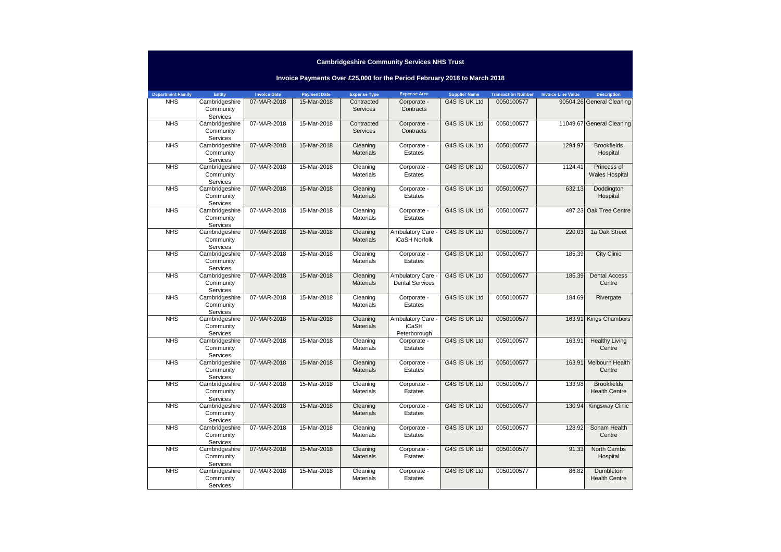|                          |                                                |                     |                     |                              | Invoice Payments Over £25,000 for the Period February 2018 to March 2018 |                      |                           |                           |                                            |
|--------------------------|------------------------------------------------|---------------------|---------------------|------------------------------|--------------------------------------------------------------------------|----------------------|---------------------------|---------------------------|--------------------------------------------|
| <b>Department Family</b> | Entity                                         | <b>Invoice Date</b> | <b>Payment Date</b> | <b>Expense Type</b>          | <b>Expense Area</b>                                                      | <b>Supplier Name</b> | <b>Transaction Number</b> | <b>Invoice Line Value</b> | <b>Description</b>                         |
| <b>NHS</b>               | Cambridgeshire<br>Community<br><b>Services</b> | 07-MAR-2018         | 15-Mar-2018         | Contracted<br>Services       | Corporate -<br>Contracts                                                 | G4S IS UK Ltd        | 0050100577                |                           | 90504.26 General Cleaning                  |
| <b>NHS</b>               | Cambridgeshire<br>Community<br>Services        | 07-MAR-2018         | 15-Mar-2018         | Contracted<br>Services       | Corporate -<br>Contracts                                                 | G4S IS UK Ltd        | 0050100577                |                           | 11049.67 General Cleaning                  |
| <b>NHS</b>               | Cambridgeshire<br>Community<br>Services        | 07-MAR-2018         | 15-Mar-2018         | Cleaning<br><b>Materials</b> | Corporate -<br>Estates                                                   | G4S IS UK Ltd        | 0050100577                | 1294.97                   | <b>Brookfields</b><br>Hospital             |
| <b>NHS</b>               | Cambridgeshire<br>Community<br><b>Services</b> | 07-MAR-2018         | 15-Mar-2018         | Cleaning<br><b>Materials</b> | Corporate -<br>Estates                                                   | G4S IS UK Ltd        | 0050100577                | 1124.41                   | Princess of<br><b>Wales Hospital</b>       |
| <b>NHS</b>               | Cambridgeshire<br>Community<br>Services        | 07-MAR-2018         | 15-Mar-2018         | Cleaning<br>Materials        | Corporate -<br>Estates                                                   | G4S IS UK Ltd        | 0050100577                | 632.13                    | Doddington<br>Hospital                     |
| <b>NHS</b>               | Cambridgeshire<br>Community<br>Services        | 07-MAR-2018         | 15-Mar-2018         | Cleaning<br><b>Materials</b> | Corporate -<br>Estates                                                   | G4S IS UK Ltd        | 0050100577                | 497.23                    | Oak Tree Centre                            |
| <b>NHS</b>               | Cambridgeshire<br>Community<br>Services        | 07-MAR-2018         | 15-Mar-2018         | Cleaning<br><b>Materials</b> | Ambulatory Care<br>iCaSH Norfolk                                         | G4S IS UK Ltd        | 0050100577                | 220.03                    | 1a Oak Street                              |
| <b>NHS</b>               | Cambridgeshire<br>Community<br>Services        | 07-MAR-2018         | 15-Mar-2018         | Cleaning<br><b>Materials</b> | Corporate -<br>Estates                                                   | G4S IS UK Ltd        | 0050100577                | 185.39                    | <b>City Clinic</b>                         |
| <b>NHS</b>               | Cambridgeshire<br>Community<br>Services        | 07-MAR-2018         | 15-Mar-2018         | Cleaning<br><b>Materials</b> | Ambulatory Care<br><b>Dental Services</b>                                | G4S IS UK Ltd        | 0050100577                | 185.39                    | <b>Dental Access</b><br>Centre             |
| <b>NHS</b>               | Cambridgeshire<br>Community<br>Services        | 07-MAR-2018         | 15-Mar-2018         | Cleaning<br><b>Materials</b> | Corporate -<br>Estates                                                   | G4S IS UK Ltd        | 0050100577                | 184.69                    | Rivergate                                  |
| <b>NHS</b>               | Cambridgeshire<br>Community<br>Services        | 07-MAR-2018         | 15-Mar-2018         | Cleaning<br><b>Materials</b> | Ambulatory Care -<br><b>iCaSH</b><br>Peterborough                        | G4S IS UK Ltd        | 0050100577                | 163.91                    | <b>Kings Chambers</b>                      |
| <b>NHS</b>               | Cambridgeshire<br>Community<br>Services        | 07-MAR-2018         | 15-Mar-2018         | Cleaning<br><b>Materials</b> | Corporate -<br>Estates                                                   | G4S IS UK Ltd        | 0050100577                | 163.91                    | <b>Healthy Living</b><br>Centre            |
| <b>NHS</b>               | Cambridgeshire<br>Community<br>Services        | 07-MAR-2018         | 15-Mar-2018         | Cleaning<br><b>Materials</b> | Corporate -<br>Estates                                                   | G4S IS UK Ltd        | 0050100577                | 163.91                    | Melbourn Health<br>Centre                  |
| <b>NHS</b>               | Cambridgeshire<br>Community<br>Services        | 07-MAR-2018         | 15-Mar-2018         | Cleaning<br><b>Materials</b> | Corporate -<br>Estates                                                   | G4S IS UK Ltd        | 0050100577                | 133.98                    | <b>Brookfields</b><br><b>Health Centre</b> |
| <b>NHS</b>               | Cambridgeshire<br>Community<br>Services        | 07-MAR-2018         | 15-Mar-2018         | Cleaning<br><b>Materials</b> | Corporate -<br>Estates                                                   | G4S IS UK Ltd        | 0050100577                | 130.94                    | Kingsway Clinic                            |
| <b>NHS</b>               | Cambridgeshire<br>Community<br>Services        | 07-MAR-2018         | 15-Mar-2018         | Cleaning<br><b>Materials</b> | Corporate -<br>Estates                                                   | G4S IS UK Ltd        | 0050100577                | 128.92                    | Soham Health<br>Centre                     |
| <b>NHS</b>               | Cambridgeshire<br>Community<br>Services        | 07-MAR-2018         | 15-Mar-2018         | Cleaning<br><b>Materials</b> | Corporate -<br>Estates                                                   | G4S IS UK Ltd        | 0050100577                | 91.33                     | North Cambs<br>Hospital                    |
| <b>NHS</b>               | Cambridgeshire<br>Community<br>Services        | 07-MAR-2018         | 15-Mar-2018         | Cleaning<br><b>Materials</b> | Corporate -<br>Estates                                                   | G4S IS UK Ltd        | 0050100577                | 86.82                     | <b>Dumbleton</b><br><b>Health Centre</b>   |